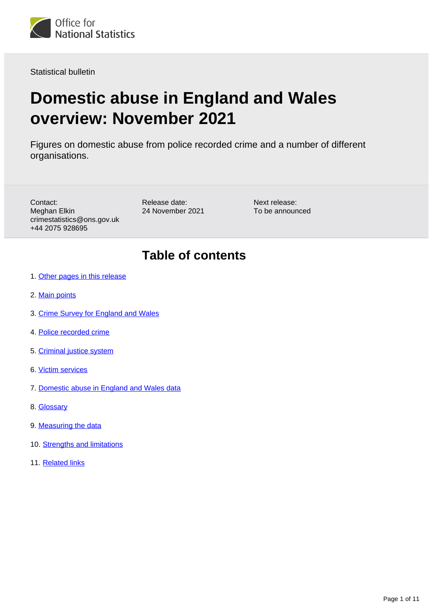

Statistical bulletin

# **Domestic abuse in England and Wales overview: November 2021**

Figures on domestic abuse from police recorded crime and a number of different organisations.

Contact: Meghan Elkin crimestatistics@ons.gov.uk +44 2075 928695

Release date: 24 November 2021 Next release: To be announced

## **Table of contents**

- 1. [Other pages in this release](#page-1-0)
- 2. [Main points](#page-1-1)
- 3. [Crime Survey for England and Wales](#page-2-0)
- 4. [Police recorded crime](#page-2-1)
- 5. [Criminal justice system](#page-5-0)
- 6. [Victim services](#page-5-1)
- 7. [Domestic abuse in England and Wales data](#page-7-0)
- 8. [Glossary](#page-7-1)
- 9. [Measuring the data](#page-9-0)
- 10. [Strengths and limitations](#page-9-1)
- 11. [Related links](#page-10-0)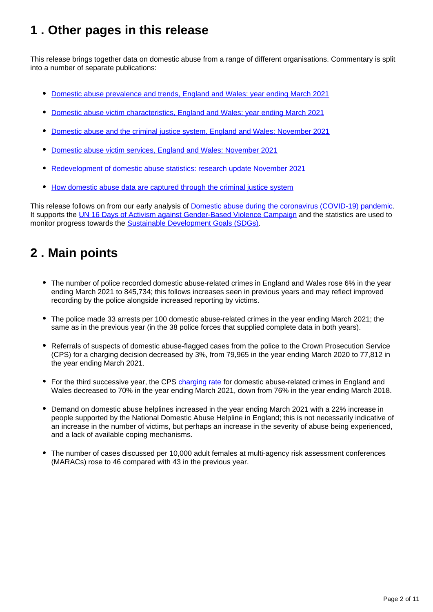## <span id="page-1-0"></span>**1 . Other pages in this release**

This release brings together data on domestic abuse from a range of different organisations. Commentary is split into a number of separate publications:

- [Domestic abuse prevalence and trends, England and Wales: year ending March 2021](https://www.ons.gov.uk/peoplepopulationandcommunity/crimeandjustice/articles/domesticabuseprevalenceandtrendsenglandandwales/yearendingmarch2021)
- [Domestic abuse victim characteristics, England and Wales: year ending March 2021](https://www.ons.gov.uk/peoplepopulationandcommunity/crimeandjustice/articles/domesticabusevictimcharacteristicsenglandandwales/yearendingmarch2021)
- [Domestic abuse and the criminal justice system, England and Wales: November 2021](https://www.ons.gov.uk/peoplepopulationandcommunity/crimeandjustice/articles/domesticabuseandthecriminaljusticesystemenglandandwales/november2021)
- [Domestic abuse victim services, England and Wales: November 2021](https://www.ons.gov.uk/peoplepopulationandcommunity/crimeandjustice/articles/domesticabusevictimservicesenglandandwales/november2021)  $\bullet$
- [Redevelopment of domestic abuse statistics: research update November 2021](https://www.ons.gov.uk/peoplepopulationandcommunity/crimeandjustice/articles/redevelopmentofdomesticabusestatistics/researchupdatenovember2021)
- [How domestic abuse data are captured through the criminal justice system](https://www.ons.gov.uk/peoplepopulationandcommunity/crimeandjustice/articles/howdomesticabusedataarecapturedthroughthecriminaljusticesystem/2019-11-25)

This release follows on from our early analysis of [Domestic abuse during the coronavirus \(COVID-19\) pandemic](https://www.ons.gov.uk/peoplepopulationandcommunity/crimeandjustice/articles/domesticabuseduringthecoronaviruscovid19pandemicenglandandwales/november2020). It supports the [UN 16 Days of Activism against Gender-Based Violence Campaign](https://www.unwomen.org/en/what-we-do/ending-violence-against-women/take-action/16-days-of-activism) and the statistics are used to monitor progress towards the [Sustainable Development Goals \(SDGs\).](https://sustainabledevelopment-uk.github.io/)

## <span id="page-1-1"></span>**2 . Main points**

- The number of police recorded domestic abuse-related crimes in England and Wales rose 6% in the year ending March 2021 to 845,734; this follows increases seen in previous years and may reflect improved recording by the police alongside increased reporting by victims.
- The police made 33 arrests per 100 domestic abuse-related crimes in the year ending March 2021; the same as in the previous year (in the 38 police forces that supplied complete data in both years).
- Referrals of suspects of domestic abuse-flagged cases from the police to the Crown Prosecution Service (CPS) for a charging decision decreased by 3%, from 79,965 in the year ending March 2020 to 77,812 in the year ending March 2021.
- For the third successive year, the CPS [charging rate](https://www.ons.gov.uk/peoplepopulationandcommunity/crimeandjustice/bulletins/domesticabuseinenglandandwalesoverview/november2021#glossary) for domestic abuse-related crimes in England and Wales decreased to 70% in the year ending March 2021, down from 76% in the year ending March 2018.
- Demand on domestic abuse helplines increased in the year ending March 2021 with a 22% increase in people supported by the National Domestic Abuse Helpline in England; this is not necessarily indicative of an increase in the number of victims, but perhaps an increase in the severity of abuse being experienced, and a lack of available coping mechanisms.
- The number of cases discussed per 10,000 adult females at multi-agency risk assessment conferences (MARACs) rose to 46 compared with 43 in the previous year.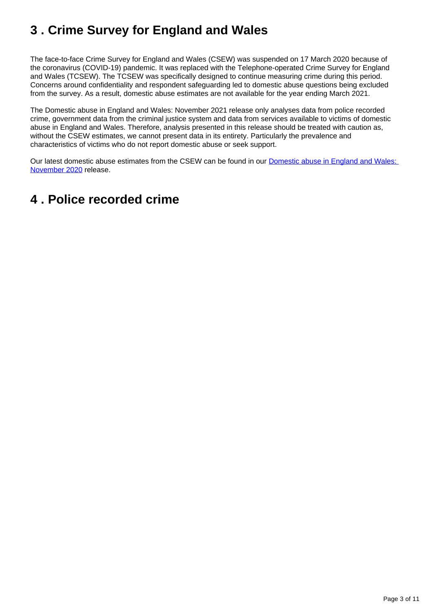## <span id="page-2-0"></span>**3 . Crime Survey for England and Wales**

The face-to-face Crime Survey for England and Wales (CSEW) was suspended on 17 March 2020 because of the coronavirus (COVID-19) pandemic. It was replaced with the Telephone-operated Crime Survey for England and Wales (TCSEW). The TCSEW was specifically designed to continue measuring crime during this period. Concerns around confidentiality and respondent safeguarding led to domestic abuse questions being excluded from the survey. As a result, domestic abuse estimates are not available for the year ending March 2021.

The Domestic abuse in England and Wales: November 2021 release only analyses data from police recorded crime, government data from the criminal justice system and data from services available to victims of domestic abuse in England and Wales. Therefore, analysis presented in this release should be treated with caution as, without the CSEW estimates, we cannot present data in its entirety. Particularly the prevalence and characteristics of victims who do not report domestic abuse or seek support.

Our latest domestic abuse estimates from the CSEW can be found in our [Domestic abuse in England and Wales:](https://www.ons.gov.uk/peoplepopulationandcommunity/crimeandjustice/bulletins/domesticabuseinenglandandwalesoverview/november2020)  [November 2020](https://www.ons.gov.uk/peoplepopulationandcommunity/crimeandjustice/bulletins/domesticabuseinenglandandwalesoverview/november2020) release.

## <span id="page-2-1"></span>**4 . Police recorded crime**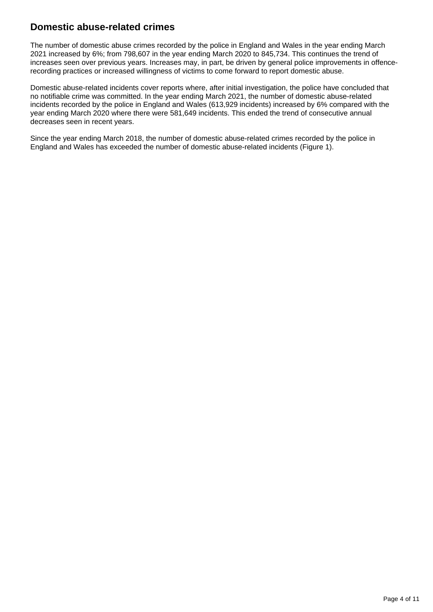### **Domestic abuse-related crimes**

The number of domestic abuse crimes recorded by the police in England and Wales in the year ending March 2021 increased by 6%; from 798,607 in the year ending March 2020 to 845,734. This continues the trend of increases seen over previous years. Increases may, in part, be driven by general police improvements in offencerecording practices or increased willingness of victims to come forward to report domestic abuse.

Domestic abuse-related incidents cover reports where, after initial investigation, the police have concluded that no notifiable crime was committed. In the year ending March 2021, the number of domestic abuse-related incidents recorded by the police in England and Wales (613,929 incidents) increased by 6% compared with the year ending March 2020 where there were 581,649 incidents. This ended the trend of consecutive annual decreases seen in recent years.

Since the year ending March 2018, the number of domestic abuse-related crimes recorded by the police in England and Wales has exceeded the number of domestic abuse-related incidents (Figure 1).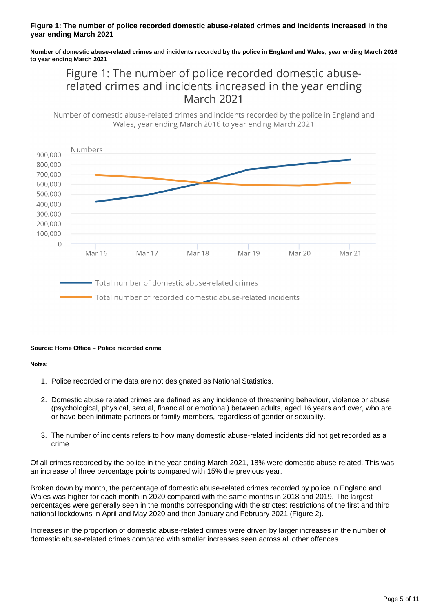#### **Figure 1: The number of police recorded domestic abuse-related crimes and incidents increased in the year ending March 2021**

**Number of domestic abuse-related crimes and incidents recorded by the police in England and Wales, year ending March 2016 to year ending March 2021**

### Figure 1: The number of police recorded domestic abuserelated crimes and incidents increased in the year ending **March 2021**

Number of domestic abuse-related crimes and incidents recorded by the police in England and Wales, year ending March 2016 to year ending March 2021



Total number of domestic abuse-related crimes

Total number of recorded domestic abuse-related incidents

#### **Source: Home Office – Police recorded crime**

#### **Notes:**

- 1. Police recorded crime data are not designated as National Statistics.
- 2. Domestic abuse related crimes are defined as any incidence of threatening behaviour, violence or abuse (psychological, physical, sexual, financial or emotional) between adults, aged 16 years and over, who are or have been intimate partners or family members, regardless of gender or sexuality.
- 3. The number of incidents refers to how many domestic abuse-related incidents did not get recorded as a crime.

Of all crimes recorded by the police in the year ending March 2021, 18% were domestic abuse-related. This was an increase of three percentage points compared with 15% the previous year.

Broken down by month, the percentage of domestic abuse-related crimes recorded by police in England and Wales was higher for each month in 2020 compared with the same months in 2018 and 2019. The largest percentages were generally seen in the months corresponding with the strictest restrictions of the first and third national lockdowns in April and May 2020 and then January and February 2021 (Figure 2).

Increases in the proportion of domestic abuse-related crimes were driven by larger increases in the number of domestic abuse-related crimes compared with smaller increases seen across all other offences.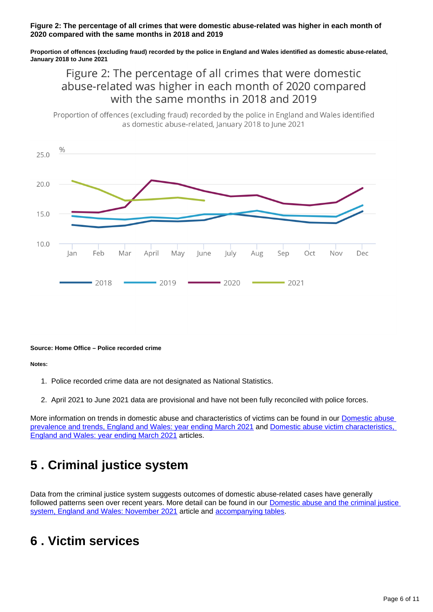#### **Figure 2: The percentage of all crimes that were domestic abuse-related was higher in each month of 2020 compared with the same months in 2018 and 2019**

**Proportion of offences (excluding fraud) recorded by the police in England and Wales identified as domestic abuse-related, January 2018 to June 2021**

### Figure 2: The percentage of all crimes that were domestic abuse-related was higher in each month of 2020 compared with the same months in 2018 and 2019

Proportion of offences (excluding fraud) recorded by the police in England and Wales identified as domestic abuse-related, January 2018 to June 2021



#### **Source: Home Office – Police recorded crime**

**Notes:**

- 1. Police recorded crime data are not designated as National Statistics.
- 2. April 2021 to June 2021 data are provisional and have not been fully reconciled with police forces.

More information on trends in domestic abuse and characteristics of victims can be found in our [Domestic abuse](https://www.ons.gov.uk/peoplepopulationandcommunity/crimeandjustice/articles/domesticabuseprevalenceandtrendsenglandandwales/yearendingmarch2021)  [prevalence and trends, England and Wales: year ending March 2021](https://www.ons.gov.uk/peoplepopulationandcommunity/crimeandjustice/articles/domesticabuseprevalenceandtrendsenglandandwales/yearendingmarch2021) and [Domestic abuse victim characteristics,](https://www.ons.gov.uk/peoplepopulationandcommunity/crimeandjustice/articles/domesticabusevictimcharacteristicsenglandandwales/yearendingmarch2021)  [England and Wales: year ending March 2021](https://www.ons.gov.uk/peoplepopulationandcommunity/crimeandjustice/articles/domesticabusevictimcharacteristicsenglandandwales/yearendingmarch2021) articles.

## <span id="page-5-0"></span>**5 . Criminal justice system**

Data from the criminal justice system suggests outcomes of domestic abuse-related cases have generally followed patterns seen over recent years. More detail can be found in our **Domestic abuse and the criminal justice** [system, England and Wales: November 2021](https://www.ons.gov.uk/peoplepopulationandcommunity/crimeandjustice/articles/domesticabuseandthecriminaljusticesystemenglandandwales/november2021) article and [accompanying tables](https://www.ons.gov.uk/peoplepopulationandcommunity/crimeandjustice/datasets/domesticabuseandthecriminaljusticesystemappendixtables).

## <span id="page-5-1"></span>**6 . Victim services**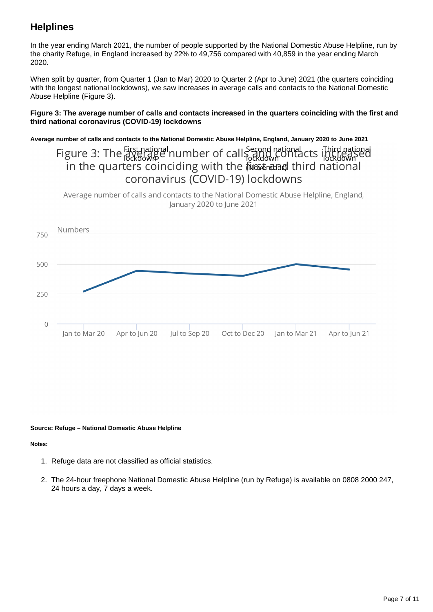### **Helplines**

In the year ending March 2021, the number of people supported by the National Domestic Abuse Helpline, run by the charity Refuge, in England increased by 22% to 49,756 compared with 40,859 in the year ending March 2020.

When split by quarter, from Quarter 1 (Jan to Mar) 2020 to Quarter 2 (Apr to June) 2021 (the quarters coinciding with the longest national lockdowns), we saw increases in average calls and contacts to the National Domestic Abuse Helpline (Figure 3).

#### **Figure 3: The average number of calls and contacts increased in the quarters coinciding with the first and third national coronavirus (COVID-19) lockdowns**

**Average number of calls and contacts to the National Domestic Abuse Helpline, England, January 2020 to June 2021**

### Figure 3: The First national number of call Second national cts initial national in the quarters coinciding with the files managed third national coronavirus (COVID-19) lockdowns

Average number of calls and contacts to the National Domestic Abuse Helpline, England, lanuary 2020 to lune 2021



#### **Source: Refuge – National Domestic Abuse Helpline**

#### **Notes:**

- 1. Refuge data are not classified as official statistics.
- 2. The 24-hour freephone National Domestic Abuse Helpline (run by Refuge) is available on 0808 2000 247, 24 hours a day, 7 days a week.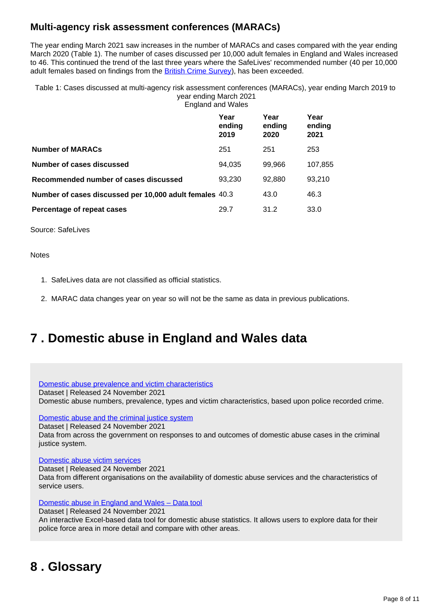### **Multi-agency risk assessment conferences (MARACs)**

The year ending March 2021 saw increases in the number of MARACs and cases compared with the year ending March 2020 (Table 1). The number of cases discussed per 10,000 adult females in England and Wales increased to 46. This continued the trend of the last three years where the SafeLives' recommended number (40 per 10,000 adult females based on findings from the [British Crime Survey](http://webarchive.nationalarchives.gov.uk/20060214090707/http:/www.homeoffice.gov.uk/rds/pdfs04/hors276.pdf)), has been exceeded.

Table 1: Cases discussed at multi-agency risk assessment conferences (MARACs), year ending March 2019 to year ending March 2021 England and Wales

|                                                         | Year<br>ending<br>2019 | Year<br>ending<br>2020 | Year<br>ending<br>2021 |
|---------------------------------------------------------|------------------------|------------------------|------------------------|
| <b>Number of MARACs</b>                                 | 251                    | 251                    | 253                    |
| <b>Number of cases discussed</b>                        | 94.035                 | 99,966                 | 107,855                |
| Recommended number of cases discussed                   | 93,230                 | 92,880                 | 93,210                 |
| Number of cases discussed per 10,000 adult females 40.3 |                        | 43.0                   | 46.3                   |
| Percentage of repeat cases                              | 29.7                   | 31.2                   | 33.0                   |

Source: SafeLives

**Notes** 

- 1. SafeLives data are not classified as official statistics.
- 2. MARAC data changes year on year so will not be the same as data in previous publications.

## <span id="page-7-0"></span>**7 . Domestic abuse in England and Wales data**

[Domestic abuse prevalence and victim characteristics](https://www.ons.gov.uk/peoplepopulationandcommunity/crimeandjustice/datasets/domesticabuseprevalenceandvictimcharacteristicsappendixtables)

Dataset | Released 24 November 2021

Domestic abuse numbers, prevalence, types and victim characteristics, based upon police recorded crime.

[Domestic abuse and the criminal justice system](https://www.ons.gov.uk/peoplepopulationandcommunity/crimeandjustice/datasets/domesticabuseandthecriminaljusticesystemappendixtables)

Dataset | Released 24 November 2021

Data from across the government on responses to and outcomes of domestic abuse cases in the criminal justice system.

[Domestic abuse victim services](https://www.ons.gov.uk/peoplepopulationandcommunity/crimeandjustice/datasets/domesticabusevictimservicesappendixtables)

Dataset | Released 24 November 2021 Data from different organisations on the availability of domestic abuse services and the characteristics of service users.

[Domestic abuse in England and Wales – Data tool](https://www.ons.gov.uk/peoplepopulationandcommunity/crimeandjustice/datasets/domesticabuseinenglandandwalesdatatool)

Dataset | Released 24 November 2021 An interactive Excel-based data tool for domestic abuse statistics. It allows users to explore data for their police force area in more detail and compare with other areas.

## <span id="page-7-1"></span>**8 . Glossary**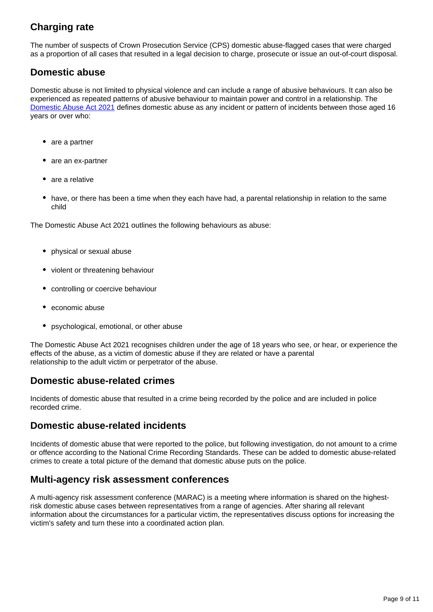### **Charging rate**

The number of suspects of Crown Prosecution Service (CPS) domestic abuse-flagged cases that were charged as a proportion of all cases that resulted in a legal decision to charge, prosecute or issue an out-of-court disposal.

### **Domestic abuse**

Domestic abuse is not limited to physical violence and can include a range of abusive behaviours. It can also be experienced as repeated patterns of abusive behaviour to maintain power and control in a relationship. The [Domestic Abuse Act 2021](https://www.legislation.gov.uk/ukpga/2021/17/part/1/enacted) defines domestic abuse as any incident or pattern of incidents between those aged 16 years or over who:

- are a partner
- are an ex-partner
- are a relative
- have, or there has been a time when they each have had, a parental relationship in relation to the same child

The Domestic Abuse Act 2021 outlines the following behaviours as abuse:

- physical or sexual abuse
- violent or threatening behaviour
- controlling or coercive behaviour
- economic abuse
- psychological, emotional, or other abuse

The Domestic Abuse Act 2021 recognises children under the age of 18 years who see, or hear, or experience the effects of the abuse, as a victim of domestic abuse if they are related or have a parental relationship to the adult victim or perpetrator of the abuse.

### **Domestic abuse-related crimes**

Incidents of domestic abuse that resulted in a crime being recorded by the police and are included in police recorded crime.

### **Domestic abuse-related incidents**

Incidents of domestic abuse that were reported to the police, but following investigation, do not amount to a crime or offence according to the National Crime Recording Standards. These can be added to domestic abuse-related crimes to create a total picture of the demand that domestic abuse puts on the police.

### **Multi-agency risk assessment conferences**

A multi-agency risk assessment conference (MARAC) is a meeting where information is shared on the highestrisk domestic abuse cases between representatives from a range of agencies. After sharing all relevant information about the circumstances for a particular victim, the representatives discuss options for increasing the victim's safety and turn these into a coordinated action plan.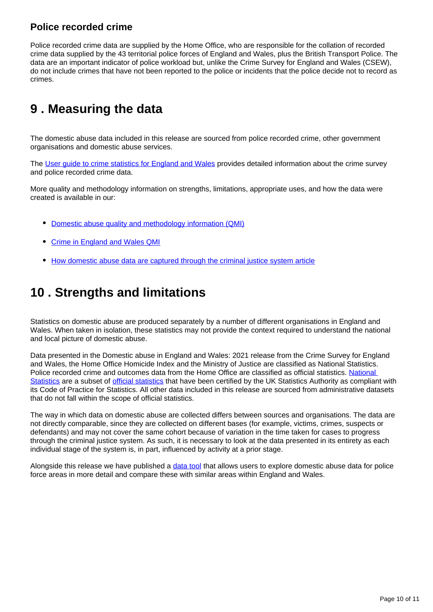### **Police recorded crime**

Police recorded crime data are supplied by the Home Office, who are responsible for the collation of recorded crime data supplied by the 43 territorial police forces of England and Wales, plus the British Transport Police. The data are an important indicator of police workload but, unlike the Crime Survey for England and Wales (CSEW), do not include crimes that have not been reported to the police or incidents that the police decide not to record as crimes.

## <span id="page-9-0"></span>**9 . Measuring the data**

The domestic abuse data included in this release are sourced from police recorded crime, other government organisations and domestic abuse services.

The [User guide to crime statistics for England and Wales](https://www.ons.gov.uk/peoplepopulationandcommunity/crimeandjustice/methodologies/userguidetocrimestatisticsforenglandandwales) provides detailed information about the crime survey and police recorded crime data.

More quality and methodology information on strengths, limitations, appropriate uses, and how the data were created is available in our:

- [Domestic abuse quality and methodology information \(QMI\)](https://www.ons.gov.uk/peoplepopulationandcommunity/crimeandjustice/methodologies/domesticabuseqmi)
- [Crime in England and Wales QMI](https://www.ons.gov.uk/peoplepopulationandcommunity/crimeandjustice/methodologies/crimeinenglandandwalesqmi)
- [How domestic abuse data are captured through the criminal justice system article](https://www.ons.gov.uk/peoplepopulationandcommunity/crimeandjustice/articles/howdomesticabusedataarecapturedthroughthecriminaljusticesystem/2019-11-25)

## <span id="page-9-1"></span>**10 . Strengths and limitations**

Statistics on domestic abuse are produced separately by a number of different organisations in England and Wales. When taken in isolation, these statistics may not provide the context required to understand the national and local picture of domestic abuse.

Data presented in the Domestic abuse in England and Wales: 2021 release from the Crime Survey for England and Wales, the Home Office Homicide Index and the Ministry of Justice are classified as National Statistics. Police recorded crime and outcomes data from the Home Office are classified as official statistics. [National](https://osr.statisticsauthority.gov.uk/national-statistics/)  [Statistics](https://osr.statisticsauthority.gov.uk/national-statistics/) are a subset of [official statistics](https://osr.statisticsauthority.gov.uk/policies/official-and-national-statistics-policies/official-statistics-policy/) that have been certified by the UK Statistics Authority as compliant with its Code of Practice for Statistics. All other data included in this release are sourced from administrative datasets that do not fall within the scope of official statistics.

The way in which data on domestic abuse are collected differs between sources and organisations. The data are not directly comparable, since they are collected on different bases (for example, victims, crimes, suspects or defendants) and may not cover the same cohort because of variation in the time taken for cases to progress through the criminal justice system. As such, it is necessary to look at the data presented in its entirety as each individual stage of the system is, in part, influenced by activity at a prior stage.

Alongside this release we have published a [data tool](https://www.ons.gov.uk/peoplepopulationandcommunity/crimeandjustice/datasets/domesticabuseinenglandandwalesdatatool) that allows users to explore domestic abuse data for police force areas in more detail and compare these with similar areas within England and Wales.